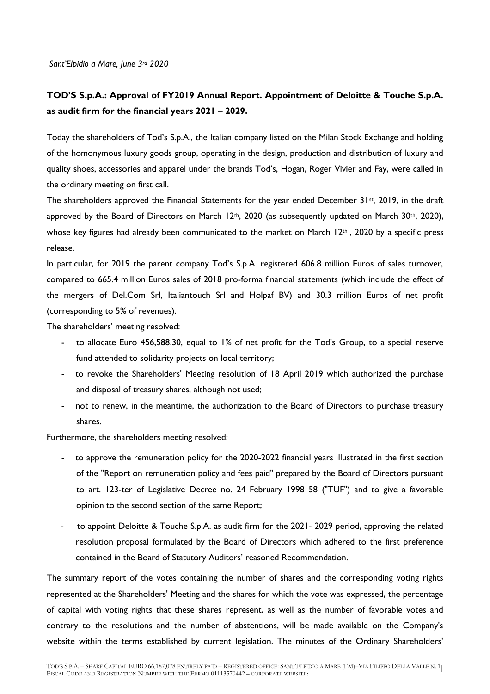*Sant'Elpidio a Mare, June 3rd 2020*

## **TOD'S S.p.A.: Approval of FY2019 Annual Report. Appointment of Deloitte & Touche S.p.A. as audit firm for the financial years 2021 – 2029.**

Today the shareholders of Tod's S.p.A., the Italian company listed on the Milan Stock Exchange and holding of the homonymous luxury goods group, operating in the design, production and distribution of luxury and quality shoes, accessories and apparel under the brands Tod's, Hogan, Roger Vivier and Fay, were called in the ordinary meeting on first call.

The shareholders approved the Financial Statements for the year ended December 31st, 2019, in the draft approved by the Board of Directors on March 12<sup>th</sup>, 2020 (as subsequently updated on March 30<sup>th</sup>, 2020), whose key figures had already been communicated to the market on March 12<sup>th</sup>, 2020 by a specific press release.

In particular, for 2019 the parent company Tod's S.p.A. registered 606.8 million Euros of sales turnover, compared to 665.4 million Euros sales of 2018 pro-forma financial statements (which include the effect of the mergers of Del.Com Srl, Italiantouch Srl and Holpaf BV) and 30.3 million Euros of net profit (corresponding to 5% of revenues).

The shareholders' meeting resolved:

- to allocate Euro 456,588.30, equal to 1% of net profit for the Tod's Group, to a special reserve fund attended to solidarity projects on local territory;
- to revoke the Shareholders' Meeting resolution of 18 April 2019 which authorized the purchase and disposal of treasury shares, although not used;
- not to renew, in the meantime, the authorization to the Board of Directors to purchase treasury shares.

Furthermore, the shareholders meeting resolved:

- to approve the remuneration policy for the 2020-2022 financial years illustrated in the first section of the "Report on remuneration policy and fees paid" prepared by the Board of Directors pursuant to art. 123-ter of Legislative Decree no. 24 February 1998 58 ("TUF") and to give a favorable opinion to the second section of the same Report;
- to appoint Deloitte & Touche S.p.A. as audit firm for the 2021- 2029 period, approving the related resolution proposal formulated by the Board of Directors which adhered to the first preference contained in the Board of Statutory Auditors' reasoned Recommendation.

The summary report of the votes containing the number of shares and the corresponding voting rights represented at the Shareholders' Meeting and the shares for which the vote was expressed, the percentage of capital with voting rights that these shares represent, as well as the number of favorable votes and contrary to the resolutions and the number of abstentions, will be made available on the Company's website within the terms established by current legislation. The minutes of the Ordinary Shareholders'